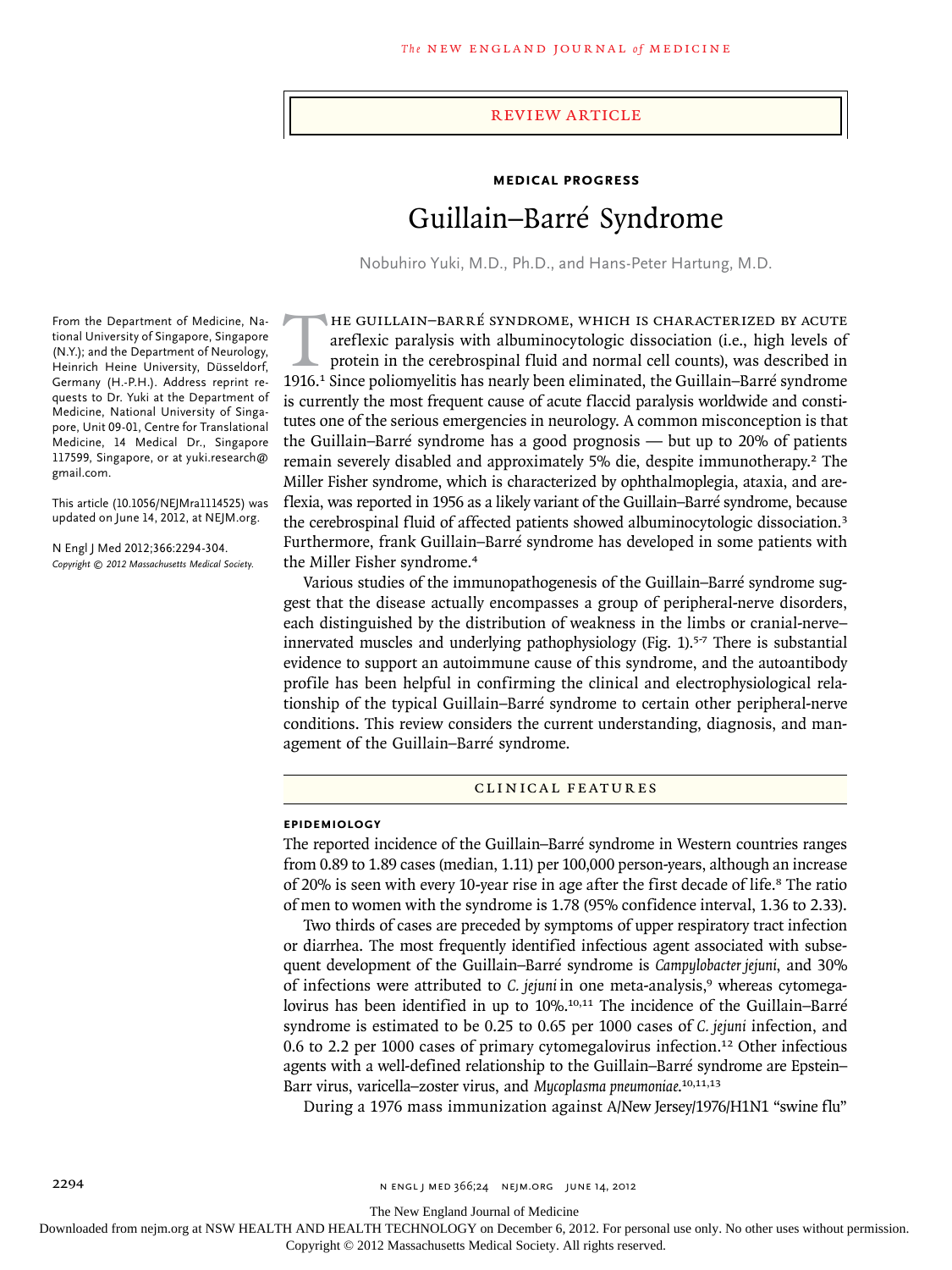## Review article

# **Medical Progress**

# Guillain–Barré Syndrome

Nobuhiro Yuki, M.D., Ph.D., and Hans-Peter Hartung, M.D.

From the Department of Medicine, National University of Singapore, Singapore (N.Y.); and the Department of Neurology, Heinrich Heine University, Düsseldorf, Germany (H.-P.H.). Address reprint requests to Dr. Yuki at the Department of Medicine, National University of Singapore, Unit 09-01, Centre for Translational Medicine, 14 Medical Dr., Singapore 117599, Singapore, or at yuki.research@ gmail.com.

This article (10.1056/NEJMra1114525) was updated on June 14, 2012, at NEJM.org.

N Engl J Med 2012;366:2294-304. *Copyright © 2012 Massachusetts Medical Society.*

HE GUILLAIN–BARRÉ SYNDROME, WHICH IS CHARACTERIZED BY ACUTE<br>areflexic paralysis with albuminocytologic dissociation (i.e., high levels of<br>protein in the cerebrospinal fluid and normal cell counts), was described in<br>1916.<sup>1</sup> areflexic paralysis with albuminocytologic dissociation (i.e., high levels of protein in the cerebrospinal fluid and normal cell counts), was described in 1916.1 Since poliomyelitis has nearly been eliminated, the Guillain–Barré syndrome is currently the most frequent cause of acute flaccid paralysis worldwide and constitutes one of the serious emergencies in neurology. A common misconception is that the Guillain–Barré syndrome has a good prognosis — but up to 20% of patients remain severely disabled and approximately 5% die, despite immunotherapy.2 The Miller Fisher syndrome, which is characterized by ophthalmoplegia, ataxia, and areflexia, was reported in 1956 as a likely variant of the Guillain–Barré syndrome, because the cerebrospinal fluid of affected patients showed albuminocytologic dissociation.<sup>3</sup> Furthermore, frank Guillain–Barré syndrome has developed in some patients with the Miller Fisher syndrome.<sup>4</sup>

Various studies of the immunopathogenesis of the Guillain–Barré syndrome suggest that the disease actually encompasses a group of peripheral-nerve disorders, each distinguished by the distribution of weakness in the limbs or cranial-nerve– innervated muscles and underlying pathophysiology (Fig. 1).5-7 There is substantial evidence to support an autoimmune cause of this syndrome, and the autoantibody profile has been helpful in confirming the clinical and electrophysiological relationship of the typical Guillain–Barré syndrome to certain other peripheral-nerve conditions. This review considers the current understanding, diagnosis, and management of the Guillain–Barré syndrome.

# CLINIC A L FE AT UR ES

#### **EPIDEMIOLOGY**

The reported incidence of the Guillain–Barré syndrome in Western countries ranges from 0.89 to 1.89 cases (median, 1.11) per 100,000 person-years, although an increase of 20% is seen with every 10-year rise in age after the first decade of life.<sup>8</sup> The ratio of men to women with the syndrome is 1.78 (95% confidence interval, 1.36 to 2.33).

Two thirds of cases are preceded by symptoms of upper respiratory tract infection or diarrhea. The most frequently identified infectious agent associated with subsequent development of the Guillain–Barré syndrome is *Campylobacter jejuni*, and 30% of infections were attributed to *C. jejuni* in one meta-analysis,9 whereas cytomegalovirus has been identified in up to 10%.<sup>10,11</sup> The incidence of the Guillain–Barré syndrome is estimated to be 0.25 to 0.65 per 1000 cases of *C. jejuni* infection, and 0.6 to 2.2 per 1000 cases of primary cytomegalovirus infection.12 Other infectious agents with a well-defined relationship to the Guillain–Barré syndrome are Epstein– Barr virus, varicella–zoster virus, and *Mycoplasma pneumoniae*. 10,11,13

During a 1976 mass immunization against A/New Jersey/1976/H1N1 "swine flu"

The New England Journal of Medicine

Downloaded from nejm.org at NSW HEALTH AND HEALTH TECHNOLOGY on December 6, 2012. For personal use only. No other uses without permission.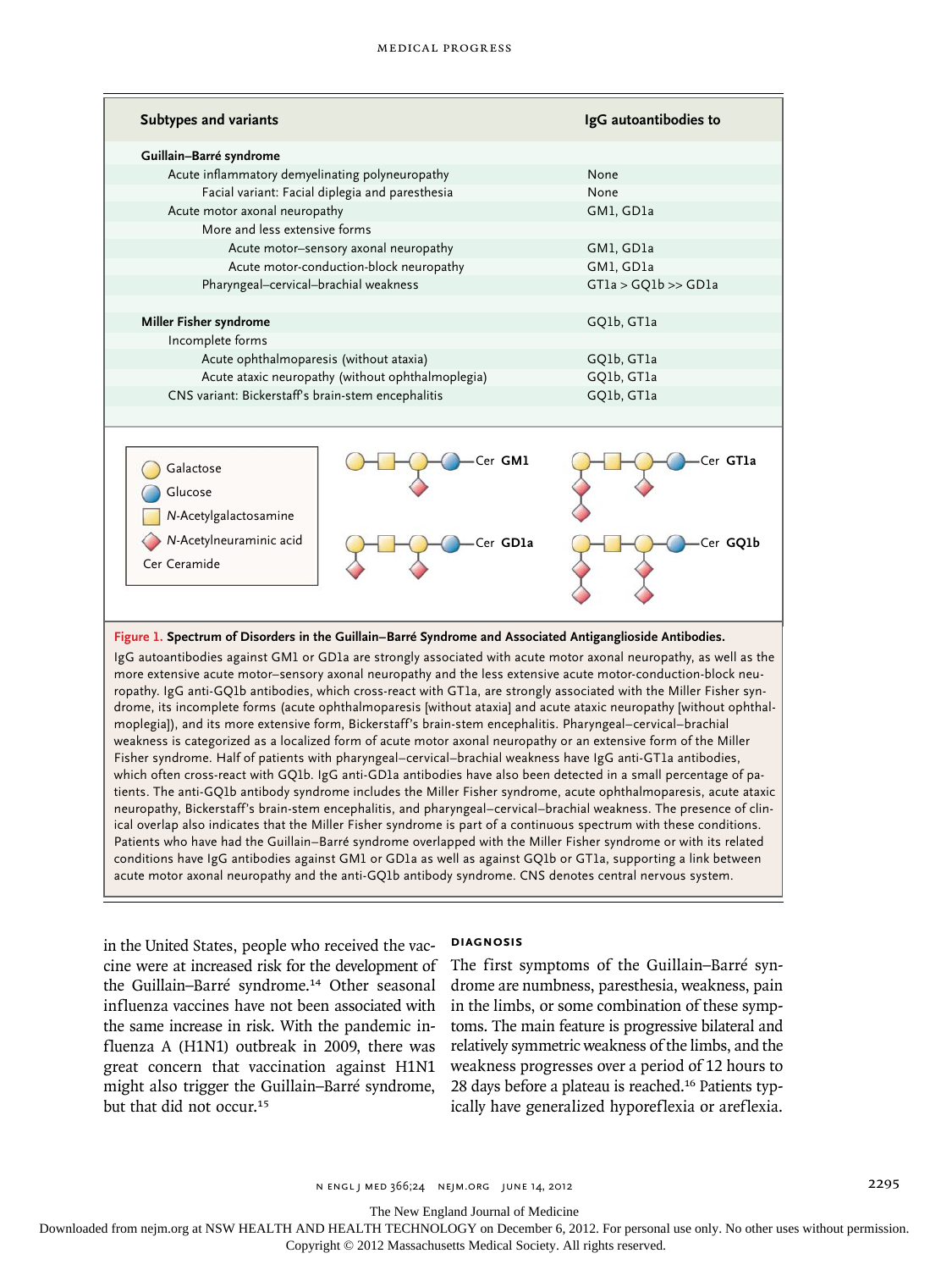| <b>Subtypes and variants</b>                                                             |                     | IgG autoantibodies to |
|------------------------------------------------------------------------------------------|---------------------|-----------------------|
| Guillain-Barré syndrome                                                                  |                     |                       |
| Acute inflammatory demyelinating polyneuropathy                                          |                     | None                  |
| Facial variant: Facial diplegia and paresthesia                                          |                     | None                  |
| Acute motor axonal neuropathy                                                            |                     | GM1, GD1a             |
| More and less extensive forms                                                            |                     |                       |
| Acute motor-sensory axonal neuropathy                                                    |                     | GM1, GD1a             |
| Acute motor-conduction-block neuropathy                                                  |                     | GM1, GD1a             |
| Pharyngeal-cervical-brachial weakness                                                    |                     | GTla > GQ1b >> GD1a   |
|                                                                                          |                     |                       |
| Miller Fisher syndrome                                                                   |                     | GQ1b, GT1a            |
| Incomplete forms                                                                         |                     |                       |
| Acute ophthalmoparesis (without ataxia)                                                  |                     | GO1b, GT1a            |
| Acute ataxic neuropathy (without ophthalmoplegia)                                        |                     | GQ1b, GT1a            |
| CNS variant: Bickerstaff's brain-stem encephalitis                                       |                     | GO1b, GT1a            |
|                                                                                          |                     |                       |
| Galactose<br>Glucose<br>N-Acetylgalactosamine<br>N-Acetylneuraminic acid<br>Cer Ceramide | Cer GM1<br>Cer GD1a | Cer GTla<br>Cer GO1b  |

### **Figure 1. Spectrum of Disorders in the Guillain–Barré Syndrome and Associated Antiganglioside Antibodies.**

IgG autoantibodies against GM1 or GD1a are strongly associated with acute motor axonal neuropathy, as well as the more extensive acute motor–sensory axonal neuropathy and the less extensive acute motor-conduction-block neuropathy. IgG anti-GQ1b antibodies, which cross-react with GT1a, are strongly associated with the Miller Fisher syndrome, its incomplete forms (acute ophthalmoparesis [without ataxia] and acute ataxic neuropathy [without ophthalmoplegia]), and its more extensive form, Bickerstaff's brain-stem encephalitis. Pharyngeal–cervical–brachial weakness is categorized as a localized form of acute motor axonal neuropathy or an extensive form of the Miller Fisher syndrome. Half of patients with pharyngeal–cervical–brachial weakness have IgG anti-GT1a antibodies, which often cross-react with GQ1b. IgG anti-GD1a antibodies have also been detected in a small percentage of patients. The anti-GQ1b antibody syndrome includes the Miller Fisher syndrome, acute ophthalmoparesis, acute ataxic neuropathy, Bickerstaff's brain-stem encephalitis, and pharyngeal–cervical–brachial weakness. The presence of clinical overlap also indicates that the Miller Fisher syndrome is part of a continuous spectrum with these conditions. Patients who have had the Guillain–Barré syndrome overlapped with the Miller Fisher syndrome or with its related conditions have IgG antibodies against GM1 or GD1a as well as against GQ1b or GT1a, supporting a link between acute motor axonal neuropathy and the anti-GQ1b antibody syndrome. CNS denotes central nervous system.

in the United States, people who received the vaccine were at increased risk for the development of the Guillain–Barré syndrome.14 Other seasonal influenza vaccines have not been associated with the same increase in risk. With the pandemic influenza A (H1N1) outbreak in 2009, there was great concern that vaccination against H1N1 might also trigger the Guillain–Barré syndrome, but that did not occur.<sup>15</sup>

# **DIAGNOSIS**

The first symptoms of the Guillain–Barré syndrome are numbness, paresthesia, weakness, pain in the limbs, or some combination of these symptoms. The main feature is progressive bilateral and relatively symmetric weakness of the limbs, and the weakness progresses over a period of 12 hours to 28 days before a plateau is reached.16 Patients typically have generalized hyporeflexia or areflexia.

n engl j med 366;24 nejm.org june 14, 2012 2295

The New England Journal of Medicine

Downloaded from nejm.org at NSW HEALTH AND HEALTH TECHNOLOGY on December 6, 2012. For personal use only. No other uses without permission.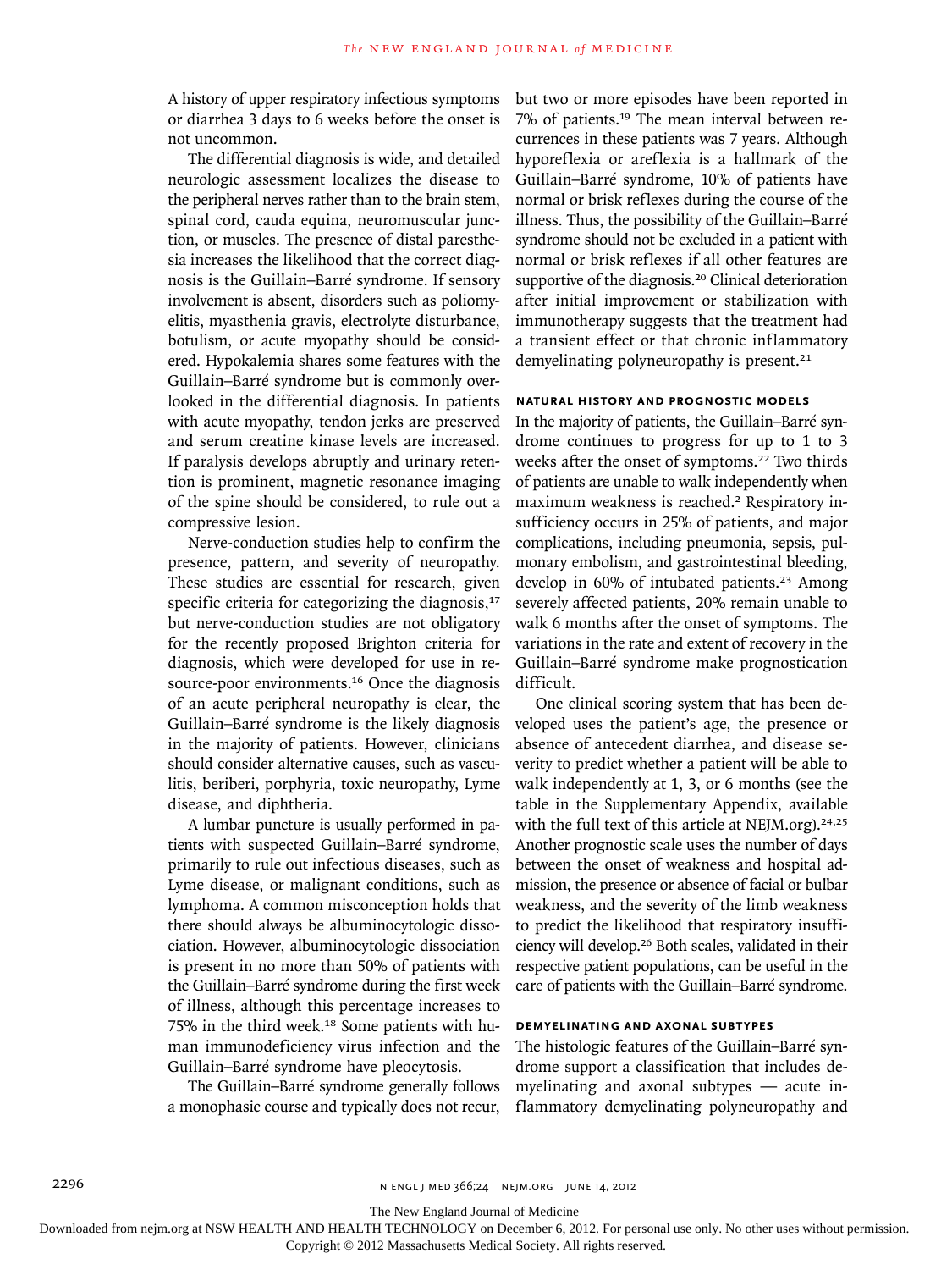A history of upper respiratory infectious symptoms or diarrhea 3 days to 6 weeks before the onset is not uncommon.

The differential diagnosis is wide, and detailed neurologic assessment localizes the disease to the peripheral nerves rather than to the brain stem, spinal cord, cauda equina, neuromuscular junction, or muscles. The presence of distal paresthesia increases the likelihood that the correct diagnosis is the Guillain–Barré syndrome. If sensory involvement is absent, disorders such as poliomyelitis, myasthenia gravis, electrolyte disturbance, botulism, or acute myopathy should be considered. Hypokalemia shares some features with the Guillain–Barré syndrome but is commonly overlooked in the differential diagnosis. In patients with acute myopathy, tendon jerks are preserved and serum creatine kinase levels are increased. If paralysis develops abruptly and urinary retention is prominent, magnetic resonance imaging of the spine should be considered, to rule out a compressive lesion.

Nerve-conduction studies help to confirm the presence, pattern, and severity of neuropathy. These studies are essential for research, given specific criteria for categorizing the diagnosis, $17$ but nerve-conduction studies are not obligatory for the recently proposed Brighton criteria for diagnosis, which were developed for use in resource-poor environments.<sup>16</sup> Once the diagnosis of an acute peripheral neuropathy is clear, the Guillain–Barré syndrome is the likely diagnosis in the majority of patients. However, clinicians should consider alternative causes, such as vasculitis, beriberi, porphyria, toxic neuropathy, Lyme disease, and diphtheria.

A lumbar puncture is usually performed in patients with suspected Guillain–Barré syndrome, primarily to rule out infectious diseases, such as Lyme disease, or malignant conditions, such as lymphoma. A common misconception holds that there should always be albuminocytologic dissociation. However, albuminocytologic dissociation is present in no more than 50% of patients with the Guillain–Barré syndrome during the first week of illness, although this percentage increases to 75% in the third week.18 Some patients with human immunodeficiency virus infection and the Guillain–Barré syndrome have pleocytosis.

The Guillain–Barré syndrome generally follows a monophasic course and typically does not recur,

but two or more episodes have been reported in 7% of patients.19 The mean interval between recurrences in these patients was 7 years. Although hyporeflexia or areflexia is a hallmark of the Guillain–Barré syndrome, 10% of patients have normal or brisk reflexes during the course of the illness. Thus, the possibility of the Guillain–Barré syndrome should not be excluded in a patient with normal or brisk reflexes if all other features are supportive of the diagnosis.<sup>20</sup> Clinical deterioration after initial improvement or stabilization with immunotherapy suggests that the treatment had a transient effect or that chronic inflammatory demyelinating polyneuropathy is present.<sup>21</sup>

# **NATURAL HISTORY AND PROGNOSTIC MODELS**

In the majority of patients, the Guillain–Barré syndrome continues to progress for up to 1 to 3 weeks after the onset of symptoms.22 Two thirds of patients are unable to walk independently when maximum weakness is reached.<sup>2</sup> Respiratory insufficiency occurs in 25% of patients, and major complications, including pneumonia, sepsis, pulmonary embolism, and gastrointestinal bleeding, develop in 60% of intubated patients.<sup>23</sup> Among severely affected patients, 20% remain unable to walk 6 months after the onset of symptoms. The variations in the rate and extent of recovery in the Guillain–Barré syndrome make prognostication difficult.

One clinical scoring system that has been developed uses the patient's age, the presence or absence of antecedent diarrhea, and disease severity to predict whether a patient will be able to walk independently at 1, 3, or 6 months (see the table in the Supplementary Appendix, available with the full text of this article at NEJM.org). $24,25$ Another prognostic scale uses the number of days between the onset of weakness and hospital admission, the presence or absence of facial or bulbar weakness, and the severity of the limb weakness to predict the likelihood that respiratory insufficiency will develop.26 Both scales, validated in their respective patient populations, can be useful in the care of patients with the Guillain–Barré syndrome.

# **DEMYELINATING AND AXONAL SUBTYPES**

The histologic features of the Guillain–Barré syndrome support a classification that includes demyelinating and axonal subtypes — acute inflammatory demyelinating polyneuropathy and

The New England Journal of Medicine

Downloaded from nejm.org at NSW HEALTH AND HEALTH TECHNOLOGY on December 6, 2012. For personal use only. No other uses without permission.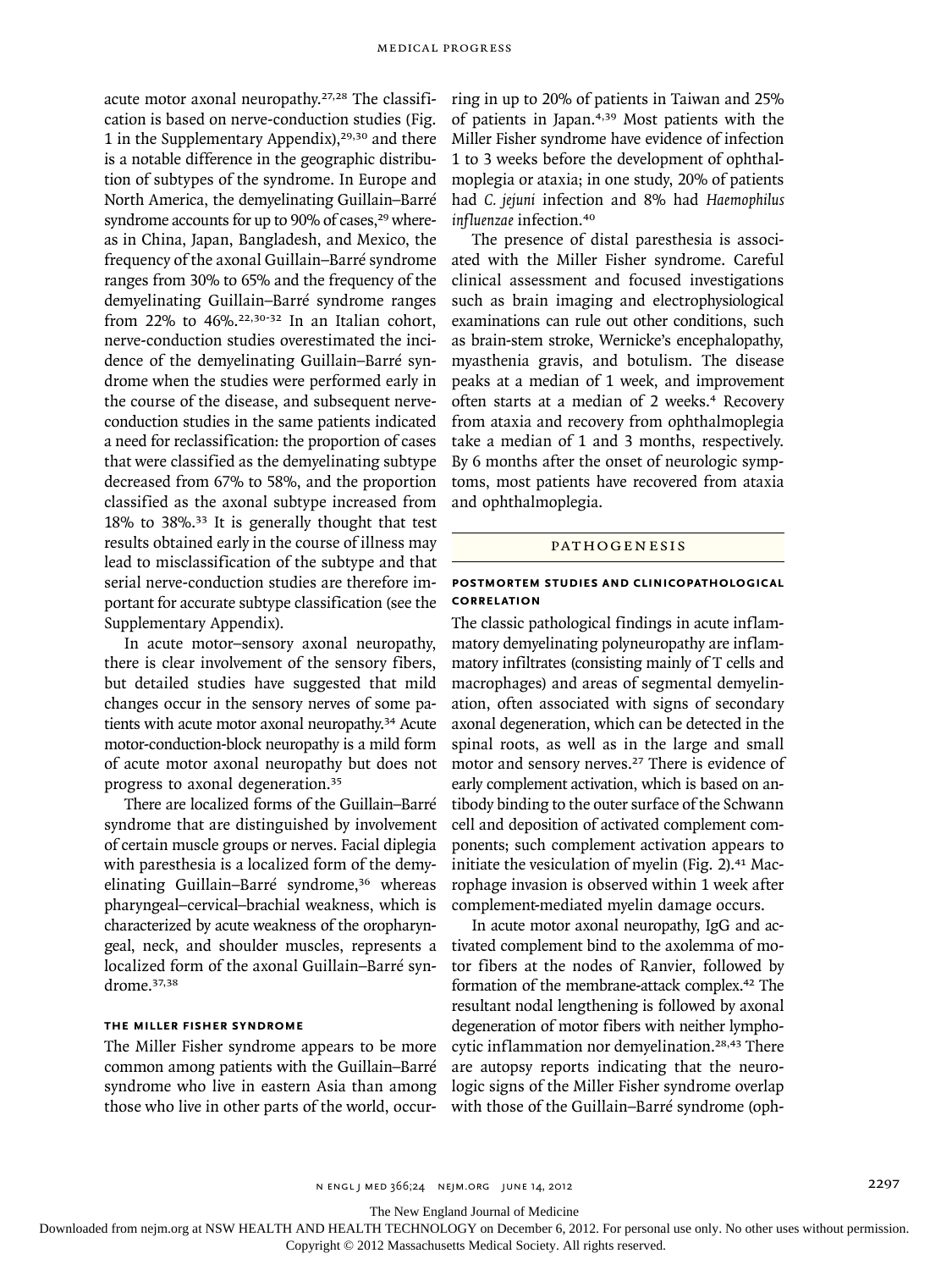acute motor axonal neuropathy.27,28 The classification is based on nerve-conduction studies (Fig. 1 in the Supplementary Appendix), $29,30$  and there is a notable difference in the geographic distribution of subtypes of the syndrome. In Europe and North America, the demyelinating Guillain–Barré syndrome accounts for up to 90% of cases,<sup>29</sup> whereas in China, Japan, Bangladesh, and Mexico, the frequency of the axonal Guillain–Barré syndrome ranges from 30% to 65% and the frequency of the demyelinating Guillain–Barré syndrome ranges from 22% to  $46\%$ .<sup>22,30-32</sup> In an Italian cohort, nerve-conduction studies overestimated the incidence of the demyelinating Guillain–Barré syndrome when the studies were performed early in the course of the disease, and subsequent nerveconduction studies in the same patients indicated a need for reclassification: the proportion of cases that were classified as the demyelinating subtype decreased from 67% to 58%, and the proportion classified as the axonal subtype increased from 18% to 38%.33 It is generally thought that test results obtained early in the course of illness may lead to misclassification of the subtype and that serial nerve-conduction studies are therefore important for accurate subtype classification (see the Supplementary Appendix).

In acute motor–sensory axonal neuropathy, there is clear involvement of the sensory fibers, but detailed studies have suggested that mild changes occur in the sensory nerves of some patients with acute motor axonal neuropathy.<sup>34</sup> Acute motor-conduction-block neuropathy is a mild form of acute motor axonal neuropathy but does not progress to axonal degeneration.<sup>35</sup>

There are localized forms of the Guillain–Barré syndrome that are distinguished by involvement of certain muscle groups or nerves. Facial diplegia with paresthesia is a localized form of the demyelinating Guillain–Barré syndrome,<sup>36</sup> whereas pharyngeal–cervical–brachial weakness, which is characterized by acute weakness of the oropharyngeal, neck, and shoulder muscles, represents a localized form of the axonal Guillain–Barré syndrome.37,38

# **THE MILLER FISHER SYNDROME**

The Miller Fisher syndrome appears to be more common among patients with the Guillain–Barré syndrome who live in eastern Asia than among those who live in other parts of the world, occurring in up to 20% of patients in Taiwan and 25% of patients in Japan.4,39 Most patients with the Miller Fisher syndrome have evidence of infection 1 to 3 weeks before the development of ophthalmoplegia or ataxia; in one study, 20% of patients had *C. jejuni* infection and 8% had *Haemophilus influenzae* infection.<sup>40</sup>

The presence of distal paresthesia is associated with the Miller Fisher syndrome. Careful clinical assessment and focused investigations such as brain imaging and electrophysiological examinations can rule out other conditions, such as brain-stem stroke, Wernicke's encephalopathy, myasthenia gravis, and botulism. The disease peaks at a median of 1 week, and improvement often starts at a median of 2 weeks.<sup>4</sup> Recovery from ataxia and recovery from ophthalmoplegia take a median of 1 and 3 months, respectively. By 6 months after the onset of neurologic symptoms, most patients have recovered from ataxia and ophthalmoplegia.

#### **PATHOGENESIS**

# **POSTMORTEM STUDIES AND CLINICOPATHOLOGICAL CORRELATION**

The classic pathological findings in acute inflammatory demyelinating polyneuropathy are inflammatory infiltrates (consisting mainly of T cells and macrophages) and areas of segmental demyelination, often associated with signs of secondary axonal degeneration, which can be detected in the spinal roots, as well as in the large and small motor and sensory nerves.<sup>27</sup> There is evidence of early complement activation, which is based on antibody binding to the outer surface of the Schwann cell and deposition of activated complement components; such complement activation appears to initiate the vesiculation of myelin (Fig. 2). $41$  Macrophage invasion is observed within 1 week after complement-mediated myelin damage occurs.

In acute motor axonal neuropathy, IgG and activated complement bind to the axolemma of motor fibers at the nodes of Ranvier, followed by formation of the membrane-attack complex.42 The resultant nodal lengthening is followed by axonal degeneration of motor fibers with neither lymphocytic inflammation nor demyelination.<sup>28,43</sup> There are autopsy reports indicating that the neurologic signs of the Miller Fisher syndrome overlap with those of the Guillain–Barré syndrome (oph-

n engl j med 366;24 nejm.org june 14, 2012 2297

The New England Journal of Medicine

Downloaded from nejm.org at NSW HEALTH AND HEALTH TECHNOLOGY on December 6, 2012. For personal use only. No other uses without permission.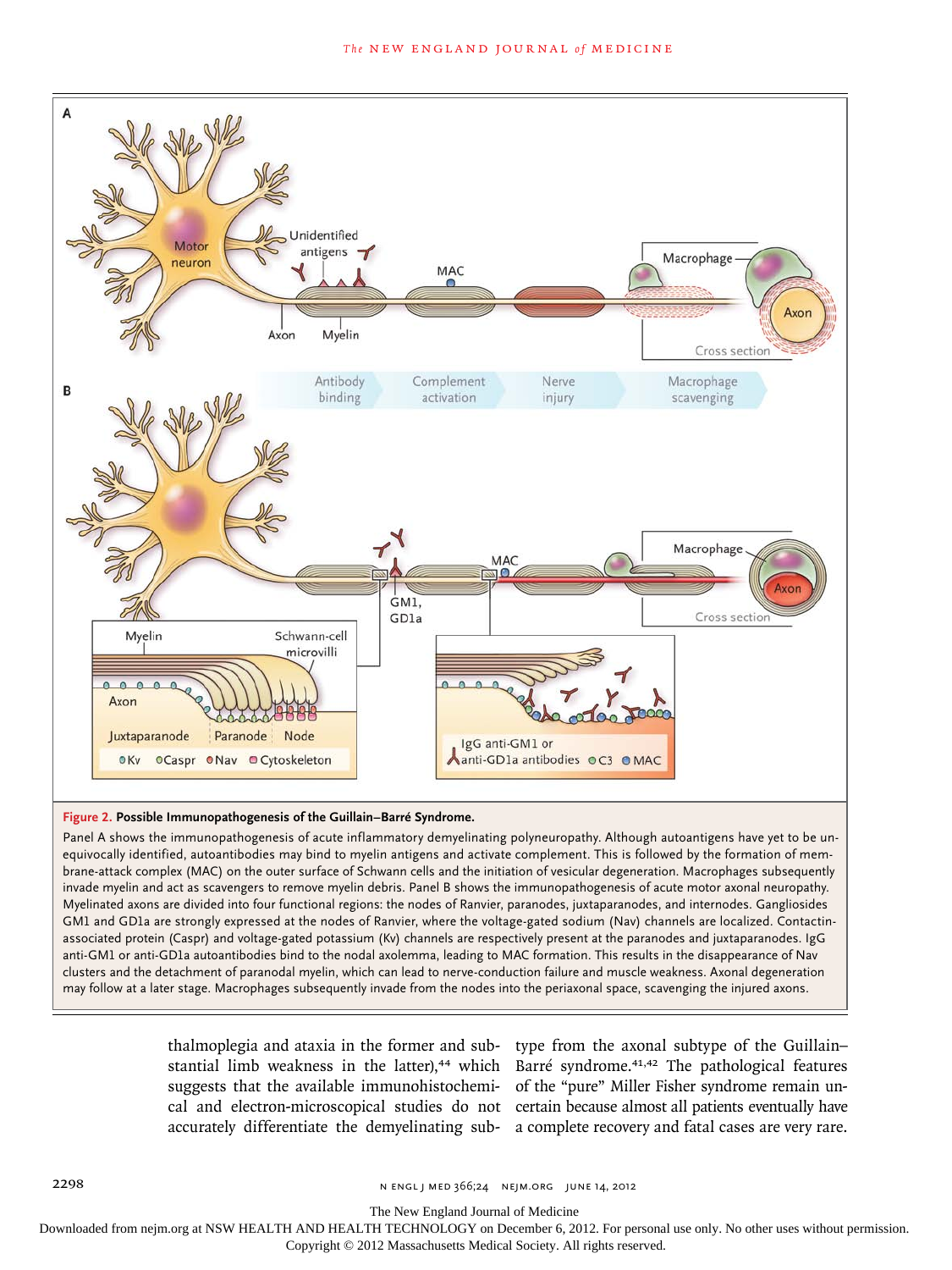

## **Figure 2. Possible Immunopathogenesis of the Guillain–Barré Syndrome.**

Panel A shows the immunopathogenesis of acute inflammatory demyelinating polyneuropathy. Although autoantigens have yet to be unequivocally identified, autoantibodies may bind to myelin antigens and activate complement. This is followed by the formation of membrane-attack complex (MAC) on the outer surface of Schwann cells and the initiation of vesicular degeneration. Macrophages subsequently invade myelin and act as scavengers to remove myelin debris. Panel B shows the immunopathogenesis of acute motor axonal neuropathy. Myelinated axons are divided into four functional regions: the nodes of Ranvier, paranodes, juxtaparanodes, and internodes. Gangliosides GM1 and GD1a are strongly expressed at the nodes of Ranvier, where the voltage-gated sodium (Nav) channels are localized. Contactinassociated protein (Caspr) and voltage-gated potassium (Kv) channels are respectively present at the paranodes and juxtaparanodes. IgG anti-GM1 or anti-GD1a autoantibodies bind to the nodal axolemma, leading to MAC formation. This results in the disappearance of Nav clusters and the detachment of paranodal myelin, which can lead to nerve-conduction failure and muscle weakness. Axonal degeneration may follow at a later stage. Macrophages subsequently invade from the nodes into the periaxonal space, scavenging the injured axons.

thalmoplegia and ataxia in the former and sub-type from the axonal subtype of the Guillain– stantial limb weakness in the latter),<sup>44</sup> which Barré syndrome.<sup>41,42</sup> The pathological features suggests that the available immunohistochemi-of the "pure" Miller Fisher syndrome remain uncal and electron-microscopical studies do not certain because almost all patients eventually have accurately differentiate the demyelinating sub-a complete recovery and fatal cases are very rare.

The New England Journal of Medicine

Downloaded from nejm.org at NSW HEALTH AND HEALTH TECHNOLOGY on December 6, 2012. For personal use only. No other uses without permission.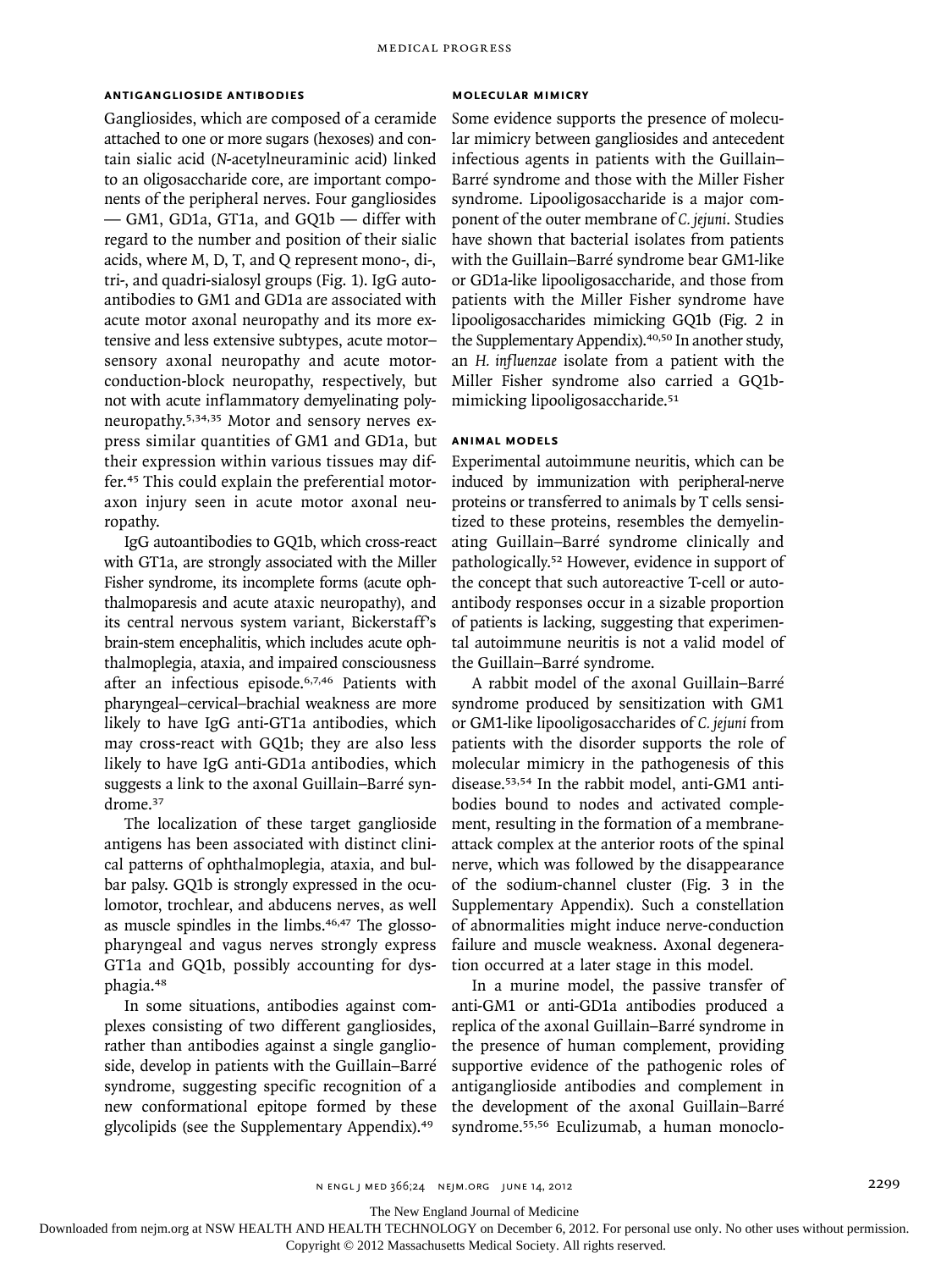# **ANTIGANGLIOSIDE ANTIBODIES**

Gangliosides, which are composed of a ceramide attached to one or more sugars (hexoses) and contain sialic acid (*N*-acetylneuraminic acid) linked to an oligosaccharide core, are important components of the peripheral nerves. Four gangliosides — GM1, GD1a, GT1a, and GQ1b — differ with regard to the number and position of their sialic acids, where M, D, T, and Q represent mono-, di-, tri-, and quadri-sialosyl groups (Fig. 1). IgG autoantibodies to GM1 and GD1a are associated with acute motor axonal neuropathy and its more extensive and less extensive subtypes, acute motor– sensory axonal neuropathy and acute motorconduction-block neuropathy, respectively, but not with acute inflammatory demyelinating polyneuropathy.5,34,35 Motor and sensory nerves express similar quantities of GM1 and GD1a, but their expression within various tissues may differ.45 This could explain the preferential motoraxon injury seen in acute motor axonal neuropathy.

IgG autoantibodies to GQ1b, which cross-react with GT1a, are strongly associated with the Miller Fisher syndrome, its incomplete forms (acute ophthalmoparesis and acute ataxic neuropathy), and its central nervous system variant, Bickerstaff's brain-stem encephalitis, which includes acute ophthalmoplegia, ataxia, and impaired consciousness after an infectious episode.6,7,46 Patients with pharyngeal–cervical–brachial weakness are more likely to have IgG anti-GT1a antibodies, which may cross-react with GQ1b; they are also less likely to have IgG anti-GD1a antibodies, which suggests a link to the axonal Guillain–Barré syndrome.<sup>37</sup>

The localization of these target ganglioside antigens has been associated with distinct clinical patterns of ophthalmoplegia, ataxia, and bulbar palsy. GQ1b is strongly expressed in the oculomotor, trochlear, and abducens nerves, as well as muscle spindles in the limbs.<sup>46,47</sup> The glossopharyngeal and vagus nerves strongly express GT1a and GQ1b, possibly accounting for dysphagia.<sup>48</sup>

In some situations, antibodies against complexes consisting of two different gangliosides, rather than antibodies against a single ganglioside, develop in patients with the Guillain–Barré syndrome, suggesting specific recognition of a new conformational epitope formed by these glycolipids (see the Supplementary Appendix).<sup>49</sup>

# **MOLECULAR MIMICRY**

Some evidence supports the presence of molecular mimicry between gangliosides and antecedent infectious agents in patients with the Guillain– Barré syndrome and those with the Miller Fisher syndrome. Lipooligosaccharide is a major component of the outer membrane of *C. jejuni*. Studies have shown that bacterial isolates from patients with the Guillain–Barré syndrome bear GM1-like or GD1a-like lipooligosaccharide, and those from patients with the Miller Fisher syndrome have lipooligosaccharides mimicking GQ1b (Fig. 2 in the Supplementary Appendix).40,50 In another study, an *H. influenzae* isolate from a patient with the Miller Fisher syndrome also carried a GQ1bmimicking lipooligosaccharide.<sup>51</sup>

# **ANIMAL MODELS**

Experimental autoimmune neuritis, which can be induced by immunization with peripheral-nerve proteins or transferred to animals by T cells sensitized to these proteins, resembles the demyelinating Guillain–Barré syndrome clinically and pathologically.52 However, evidence in support of the concept that such autoreactive T-cell or autoantibody responses occur in a sizable proportion of patients is lacking, suggesting that experimental autoimmune neuritis is not a valid model of the Guillain–Barré syndrome.

A rabbit model of the axonal Guillain–Barré syndrome produced by sensitization with GM1 or GM1-like lipooligosaccharides of *C. jejuni* from patients with the disorder supports the role of molecular mimicry in the pathogenesis of this disease.53,54 In the rabbit model, anti-GM1 antibodies bound to nodes and activated complement, resulting in the formation of a membraneattack complex at the anterior roots of the spinal nerve, which was followed by the disappearance of the sodium-channel cluster (Fig. 3 in the Supplementary Appendix). Such a constellation of abnormalities might induce nerve-conduction failure and muscle weakness. Axonal degeneration occurred at a later stage in this model.

In a murine model, the passive transfer of anti-GM1 or anti-GD1a antibodies produced a replica of the axonal Guillain–Barré syndrome in the presence of human complement, providing supportive evidence of the pathogenic roles of antiganglioside antibodies and complement in the development of the axonal Guillain–Barré syndrome.55,56 Eculizumab, a human monoclo-

The New England Journal of Medicine

Downloaded from nejm.org at NSW HEALTH AND HEALTH TECHNOLOGY on December 6, 2012. For personal use only. No other uses without permission.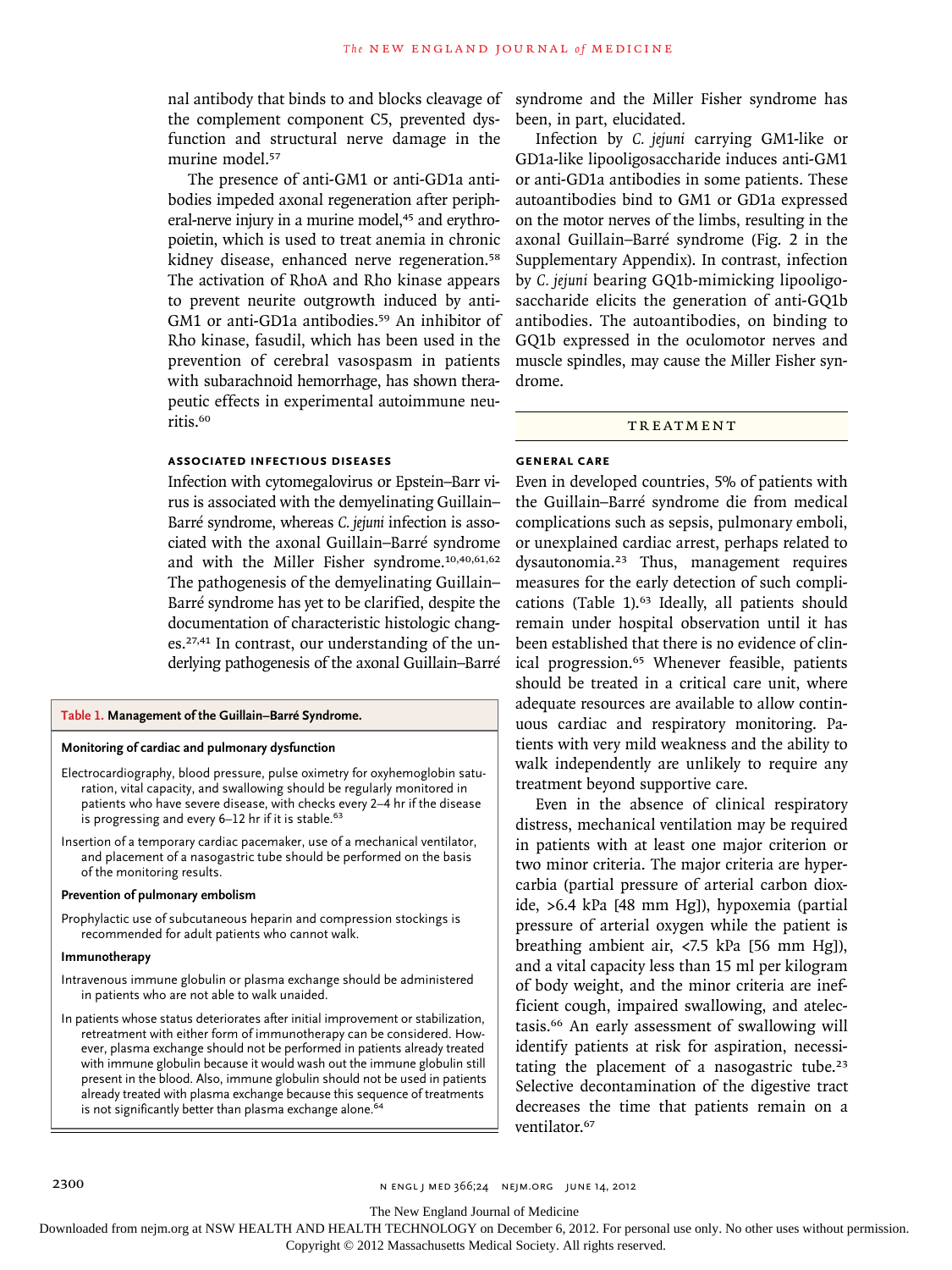nal antibody that binds to and blocks cleavage of the complement component C5, prevented dysfunction and structural nerve damage in the murine model.<sup>57</sup>

The presence of anti-GM1 or anti-GD1a antibodies impeded axonal regeneration after peripheral-nerve injury in a murine model,<sup>45</sup> and erythropoietin, which is used to treat anemia in chronic kidney disease, enhanced nerve regeneration.<sup>58</sup> The activation of RhoA and Rho kinase appears to prevent neurite outgrowth induced by anti-GM1 or anti-GD1a antibodies.<sup>59</sup> An inhibitor of Rho kinase, fasudil, which has been used in the prevention of cerebral vasospasm in patients with subarachnoid hemorrhage, has shown therapeutic effects in experimental autoimmune neuritis.<sup>60</sup>

### **ASSOCIATED INFECTIOUS DISEASES**

Infection with cytomegalovirus or Epstein–Barr virus is associated with the demyelinating Guillain– Barré syndrome, whereas *C. jejuni* infection is associated with the axonal Guillain–Barré syndrome and with the Miller Fisher syndrome.10,40,61,62 The pathogenesis of the demyelinating Guillain– Barré syndrome has yet to be clarified, despite the documentation of characteristic histologic changes.27,41 In contrast, our understanding of the underlying pathogenesis of the axonal Guillain–Barré

#### **Table 1. Management of the Guillain–Barré Syndrome.**

#### **Monitoring of cardiac and pulmonary dysfunction**

Electrocardiography, blood pressure, pulse oximetry for oxyhemoglobin saturation, vital capacity, and swallowing should be regularly monitored in patients who have severe disease, with checks every 2–4 hr if the disease is progressing and every  $6-12$  hr if it is stable.<sup>63</sup>

Insertion of a temporary cardiac pacemaker, use of a mechanical ventilator, and placement of a nasogastric tube should be performed on the basis of the monitoring results.

## **Prevention of pulmonary embolism**

Prophylactic use of subcutaneous heparin and compression stockings is recommended for adult patients who cannot walk.

#### **Immunotherapy**

- Intravenous immune globulin or plasma exchange should be administered in patients who are not able to walk unaided.
- In patients whose status deteriorates after initial improvement or stabilization, retreatment with either form of immunotherapy can be considered. However, plasma exchange should not be performed in patients already treated with immune globulin because it would wash out the immune globulin still present in the blood. Also, immune globulin should not be used in patients already treated with plasma exchange because this sequence of treatments is not significantly better than plasma exchange alone.<sup>64</sup>

syndrome and the Miller Fisher syndrome has been, in part, elucidated.

Infection by *C. jejuni* carrying GM1-like or GD1a-like lipooligosaccharide induces anti-GM1 or anti-GD1a antibodies in some patients. These autoantibodies bind to GM1 or GD1a expressed on the motor nerves of the limbs, resulting in the axonal Guillain–Barré syndrome (Fig. 2 in the Supplementary Appendix). In contrast, infection by *C. jejuni* bearing GQ1b-mimicking lipooligosaccharide elicits the generation of anti-GQ1b antibodies. The autoantibodies, on binding to GQ1b expressed in the oculomotor nerves and muscle spindles, may cause the Miller Fisher syndrome.

# **TREATMENT**

#### **GENERAL CARE**

Even in developed countries, 5% of patients with the Guillain–Barré syndrome die from medical complications such as sepsis, pulmonary emboli, or unexplained cardiac arrest, perhaps related to dysautonomia.23 Thus, management requires measures for the early detection of such complications (Table 1).<sup>63</sup> Ideally, all patients should remain under hospital observation until it has been established that there is no evidence of clinical progression.<sup>65</sup> Whenever feasible, patients should be treated in a critical care unit, where adequate resources are available to allow continuous cardiac and respiratory monitoring. Patients with very mild weakness and the ability to walk independently are unlikely to require any treatment beyond supportive care.

Even in the absence of clinical respiratory distress, mechanical ventilation may be required in patients with at least one major criterion or two minor criteria. The major criteria are hypercarbia (partial pressure of arterial carbon dioxide, >6.4 kPa [48 mm Hg]), hypoxemia (partial pressure of arterial oxygen while the patient is breathing ambient air, <7.5 kPa [56 mm Hg]), and a vital capacity less than 15 ml per kilogram of body weight, and the minor criteria are inefficient cough, impaired swallowing, and atelectasis.66 An early assessment of swallowing will identify patients at risk for aspiration, necessitating the placement of a nasogastric tube.<sup>23</sup> Selective decontamination of the digestive tract decreases the time that patients remain on a ventilator.<sup>67</sup>

The New England Journal of Medicine

Downloaded from nejm.org at NSW HEALTH AND HEALTH TECHNOLOGY on December 6, 2012. For personal use only. No other uses without permission.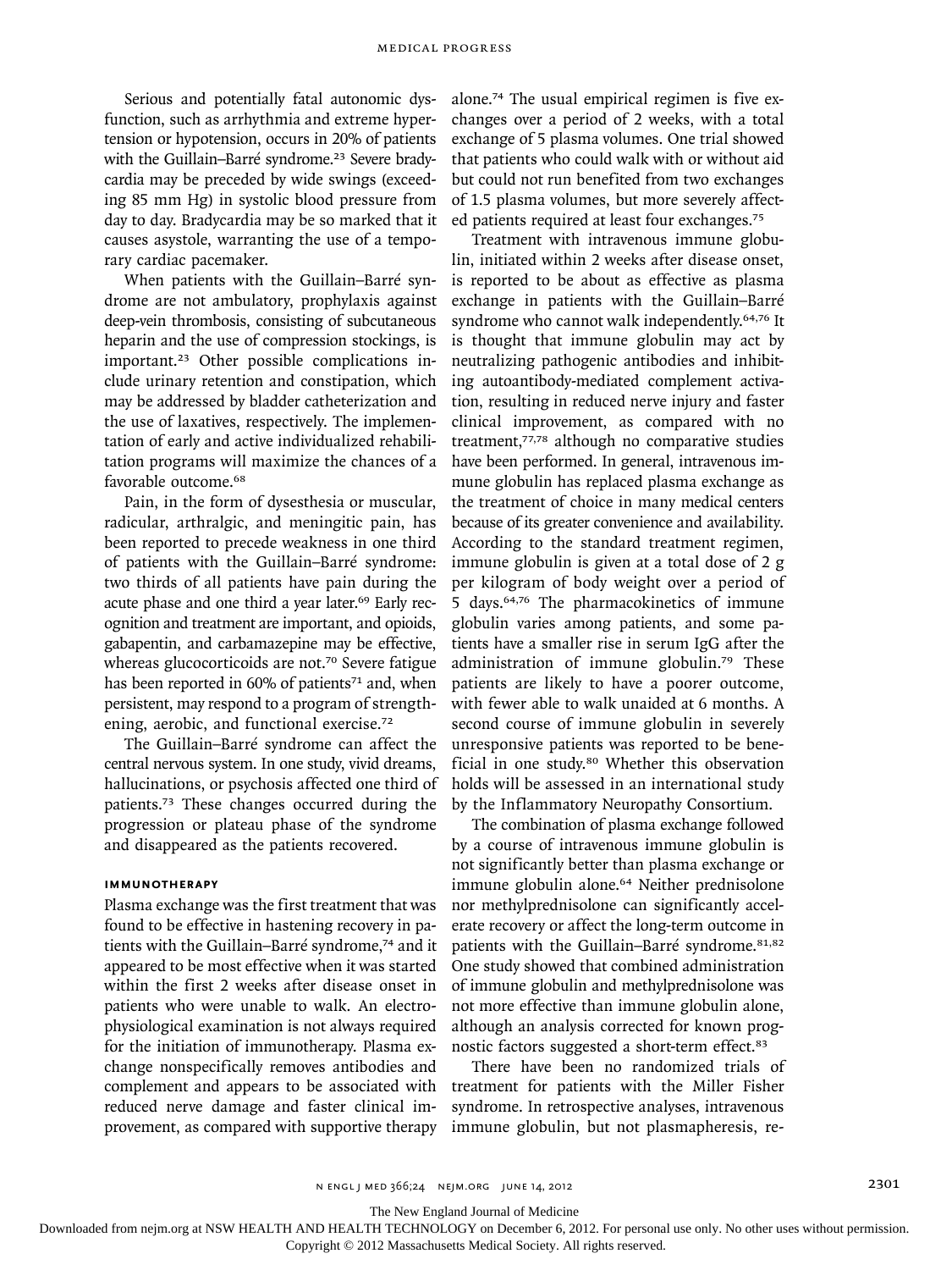Serious and potentially fatal autonomic dysfunction, such as arrhythmia and extreme hypertension or hypotension, occurs in 20% of patients with the Guillain–Barré syndrome.<sup>23</sup> Severe bradycardia may be preceded by wide swings (exceeding 85 mm Hg) in systolic blood pressure from day to day. Bradycardia may be so marked that it causes asystole, warranting the use of a temporary cardiac pacemaker.

When patients with the Guillain–Barré syndrome are not ambulatory, prophylaxis against deep-vein thrombosis, consisting of subcutaneous heparin and the use of compression stockings, is important.23 Other possible complications include urinary retention and constipation, which may be addressed by bladder catheterization and the use of laxatives, respectively. The implementation of early and active individualized rehabilitation programs will maximize the chances of a favorable outcome.<sup>68</sup>

Pain, in the form of dysesthesia or muscular, radicular, arthralgic, and meningitic pain, has been reported to precede weakness in one third of patients with the Guillain–Barré syndrome: two thirds of all patients have pain during the acute phase and one third a year later.<sup>69</sup> Early recognition and treatment are important, and opioids, gabapentin, and carbamazepine may be effective, whereas glucocorticoids are not.<sup>70</sup> Severe fatigue has been reported in 60% of patients<sup>71</sup> and, when persistent, may respond to a program of strengthening, aerobic, and functional exercise.<sup>72</sup>

The Guillain–Barré syndrome can affect the central nervous system. In one study, vivid dreams, hallucinations, or psychosis affected one third of patients.73 These changes occurred during the progression or plateau phase of the syndrome and disappeared as the patients recovered.

## **IMMUNOTHERAPY**

Plasma exchange was the first treatment that was found to be effective in hastening recovery in patients with the Guillain–Barré syndrome,<sup>74</sup> and it appeared to be most effective when it was started within the first 2 weeks after disease onset in patients who were unable to walk. An electrophysiological examination is not always required for the initiation of immunotherapy. Plasma exchange nonspecifically removes antibodies and complement and appears to be associated with reduced nerve damage and faster clinical improvement, as compared with supportive therapy alone.74 The usual empirical regimen is five exchanges over a period of 2 weeks, with a total exchange of 5 plasma volumes. One trial showed that patients who could walk with or without aid but could not run benefited from two exchanges of 1.5 plasma volumes, but more severely affected patients required at least four exchanges.<sup>75</sup>

Treatment with intravenous immune globulin, initiated within 2 weeks after disease onset, is reported to be about as effective as plasma exchange in patients with the Guillain–Barré syndrome who cannot walk independently.<sup>64,76</sup> It is thought that immune globulin may act by neutralizing pathogenic antibodies and inhibiting autoantibody-mediated complement activation, resulting in reduced nerve injury and faster clinical improvement, as compared with no treatment,77,78 although no comparative studies have been performed. In general, intravenous immune globulin has replaced plasma exchange as the treatment of choice in many medical centers because of its greater convenience and availability. According to the standard treatment regimen, immune globulin is given at a total dose of 2 g per kilogram of body weight over a period of 5 days.64,76 The pharmacokinetics of immune globulin varies among patients, and some patients have a smaller rise in serum IgG after the administration of immune globulin.79 These patients are likely to have a poorer outcome, with fewer able to walk unaided at 6 months. A second course of immune globulin in severely unresponsive patients was reported to be beneficial in one study.<sup>80</sup> Whether this observation holds will be assessed in an international study by the Inflammatory Neuropathy Consortium.

The combination of plasma exchange followed by a course of intravenous immune globulin is not significantly better than plasma exchange or immune globulin alone.64 Neither prednisolone nor methylprednisolone can significantly accelerate recovery or affect the long-term outcome in patients with the Guillain–Barré syndrome.<sup>81,82</sup> One study showed that combined administration of immune globulin and methylprednisolone was not more effective than immune globulin alone, although an analysis corrected for known prognostic factors suggested a short-term effect.<sup>83</sup>

There have been no randomized trials of treatment for patients with the Miller Fisher syndrome. In retrospective analyses, intravenous immune globulin, but not plasmapheresis, re-

The New England Journal of Medicine

Downloaded from nejm.org at NSW HEALTH AND HEALTH TECHNOLOGY on December 6, 2012. For personal use only. No other uses without permission.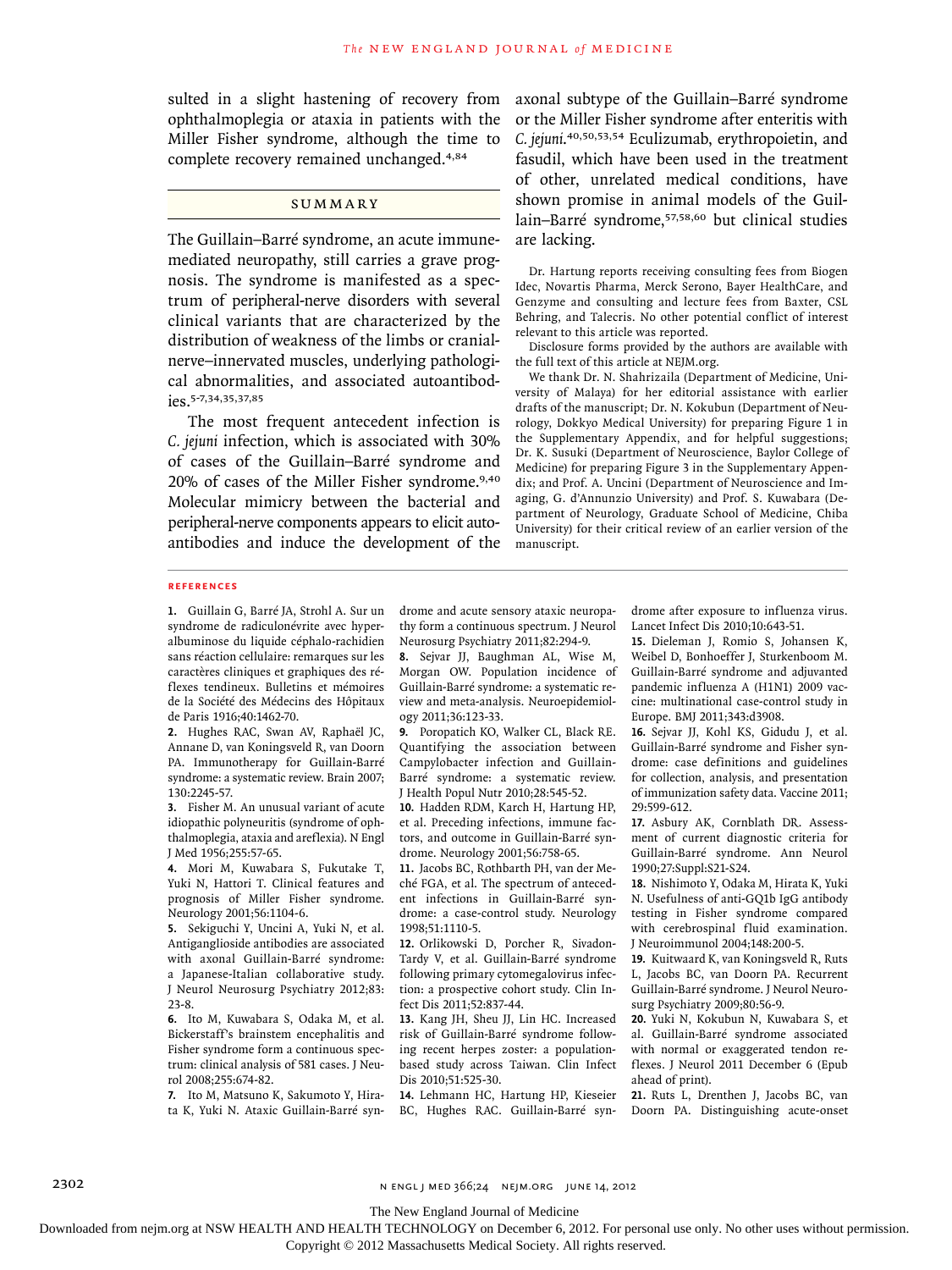sulted in a slight hastening of recovery from ophthalmoplegia or ataxia in patients with the Miller Fisher syndrome, although the time to complete recovery remained unchanged.4,84

# **SUMMARY**

The Guillain–Barré syndrome, an acute immunemediated neuropathy, still carries a grave prognosis. The syndrome is manifested as a spectrum of peripheral-nerve disorders with several clinical variants that are characterized by the distribution of weakness of the limbs or cranialnerve–innervated muscles, underlying pathological abnormalities, and associated autoantibodies.5-7,34,35,37,85

The most frequent antecedent infection is *C. jejuni* infection, which is associated with 30% of cases of the Guillain–Barré syndrome and 20% of cases of the Miller Fisher syndrome.9,40 Molecular mimicry between the bacterial and peripheral-nerve components appears to elicit autoantibodies and induce the development of the axonal subtype of the Guillain–Barré syndrome or the Miller Fisher syndrome after enteritis with *C. jejuni*. 40,50,53,54 Eculizumab, erythropoietin, and fasudil, which have been used in the treatment of other, unrelated medical conditions, have shown promise in animal models of the Guillain–Barré syndrome,57,58,60 but clinical studies are lacking.

Dr. Hartung reports receiving consulting fees from Biogen Idec, Novartis Pharma, Merck Serono, Bayer HealthCare, and Genzyme and consulting and lecture fees from Baxter, CSL Behring, and Talecris. No other potential conflict of interest relevant to this article was reported.

Disclosure forms provided by the authors are available with the full text of this article at NEJM.org.

We thank Dr. N. Shahrizaila (Department of Medicine, University of Malaya) for her editorial assistance with earlier drafts of the manuscript; Dr. N. Kokubun (Department of Neurology, Dokkyo Medical University) for preparing Figure 1 in the Supplementary Appendix, and for helpful suggestions; Dr. K. Susuki (Department of Neuroscience, Baylor College of Medicine) for preparing Figure 3 in the Supplementary Appendix; and Prof. A. Uncini (Department of Neuroscience and Imaging, G. d'Annunzio University) and Prof. S. Kuwabara (Department of Neurology, Graduate School of Medicine, Chiba University) for their critical review of an earlier version of the manuscript.

#### **REFERENCES**

**1.** Guillain G, Barré JA, Strohl A. Sur un syndrome de radiculonévrite avec hyperalbuminose du liquide céphalo-rachidien sans réaction cellulaire: remarques sur les caractères cliniques et graphiques des réflexes tendineux. Bulletins et mémoires de la Société des Médecins des Hôpitaux de Paris 1916;40:1462-70.

**2.** Hughes RAC, Swan AV, Raphaël JC, Annane D, van Koningsveld R, van Doorn PA. Immunotherapy for Guillain-Barré syndrome: a systematic review. Brain 2007; 130:2245-57.

**3.** Fisher M. An unusual variant of acute idiopathic polyneuritis (syndrome of ophthalmoplegia, ataxia and areflexia). N Engl J Med 1956;255:57-65.

**4.** Mori M, Kuwabara S, Fukutake T, Yuki N, Hattori T. Clinical features and prognosis of Miller Fisher syndrome. Neurology 2001;56:1104-6.

**5.** Sekiguchi Y, Uncini A, Yuki N, et al. Antiganglioside antibodies are associated with axonal Guillain-Barré syndrome: a Japanese-Italian collaborative study. J Neurol Neurosurg Psychiatry 2012;83: 23-8.

**6.** Ito M, Kuwabara S, Odaka M, et al. Bickerstaff's brainstem encephalitis and Fisher syndrome form a continuous spectrum: clinical analysis of 581 cases. J Neurol 2008;255:674-82.

**7.** Ito M, Matsuno K, Sakumoto Y, Hirata K, Yuki N. Ataxic Guillain-Barré syn-

drome and acute sensory ataxic neuropathy form a continuous spectrum. J Neurol Neurosurg Psychiatry 2011;82:294-9.

**8.** Sejvar JJ, Baughman AL, Wise M, Morgan OW. Population incidence of Guillain-Barré syndrome: a systematic review and meta-analysis. Neuroepidemiology 2011;36:123-33.

**9.** Poropatich KO, Walker CL, Black RE. Quantifying the association between Campylobacter infection and Guillain-Barré syndrome: a systematic review. J Health Popul Nutr 2010;28:545-52.

**10.** Hadden RDM, Karch H, Hartung HP, et al. Preceding infections, immune factors, and outcome in Guillain-Barré syndrome. Neurology 2001;56:758-65.

**11.** Jacobs BC, Rothbarth PH, van der Meché FGA, et al. The spectrum of antecedent infections in Guillain-Barré syndrome: a case-control study. Neurology 1998;51:1110-5.

**12.** Orlikowski D, Porcher R, Sivadon-Tardy V, et al. Guillain-Barré syndrome following primary cytomegalovirus infection: a prospective cohort study. Clin Infect Dis 2011;52:837-44.

**13.** Kang JH, Sheu JJ, Lin HC. Increased risk of Guillain-Barré syndrome following recent herpes zoster: a populationbased study across Taiwan. Clin Infect Dis 2010;51:525-30.

**14.** Lehmann HC, Hartung HP, Kieseier BC, Hughes RAC. Guillain-Barré syndrome after exposure to influenza virus. Lancet Infect Dis 2010;10:643-51.

**15.** Dieleman J, Romio S, Johansen K, Weibel D, Bonhoeffer J, Sturkenboom M. Guillain-Barré syndrome and adjuvanted pandemic influenza A (H1N1) 2009 vaccine: multinational case-control study in Europe. BMJ 2011;343:d3908.

**16.** Sejvar JJ, Kohl KS, Gidudu J, et al. Guillain-Barré syndrome and Fisher syndrome: case definitions and guidelines for collection, analysis, and presentation of immunization safety data. Vaccine 2011; 29:599-612.

**17.** Asbury AK, Cornblath DR. Assessment of current diagnostic criteria for Guillain-Barré syndrome. Ann Neurol 1990;27:Suppl:S21-S24.

**18.** Nishimoto Y, Odaka M, Hirata K, Yuki N. Usefulness of anti-GQ1b IgG antibody testing in Fisher syndrome compared with cerebrospinal fluid examination. J Neuroimmunol 2004;148:200-5.

**19.** Kuitwaard K, van Koningsveld R, Ruts L, Jacobs BC, van Doorn PA. Recurrent Guillain-Barré syndrome. J Neurol Neurosurg Psychiatry 2009;80:56-9.

**20.** Yuki N, Kokubun N, Kuwabara S, et al. Guillain-Barré syndrome associated with normal or exaggerated tendon reflexes. J Neurol 2011 December 6 (Epub ahead of print).

**21.** Ruts L, Drenthen J, Jacobs BC, van Doorn PA. Distinguishing acute-onset

2302 n engl j med 366;24 nejm.org june 14, 2012

The New England Journal of Medicine

Downloaded from nejm.org at NSW HEALTH AND HEALTH TECHNOLOGY on December 6, 2012. For personal use only. No other uses without permission.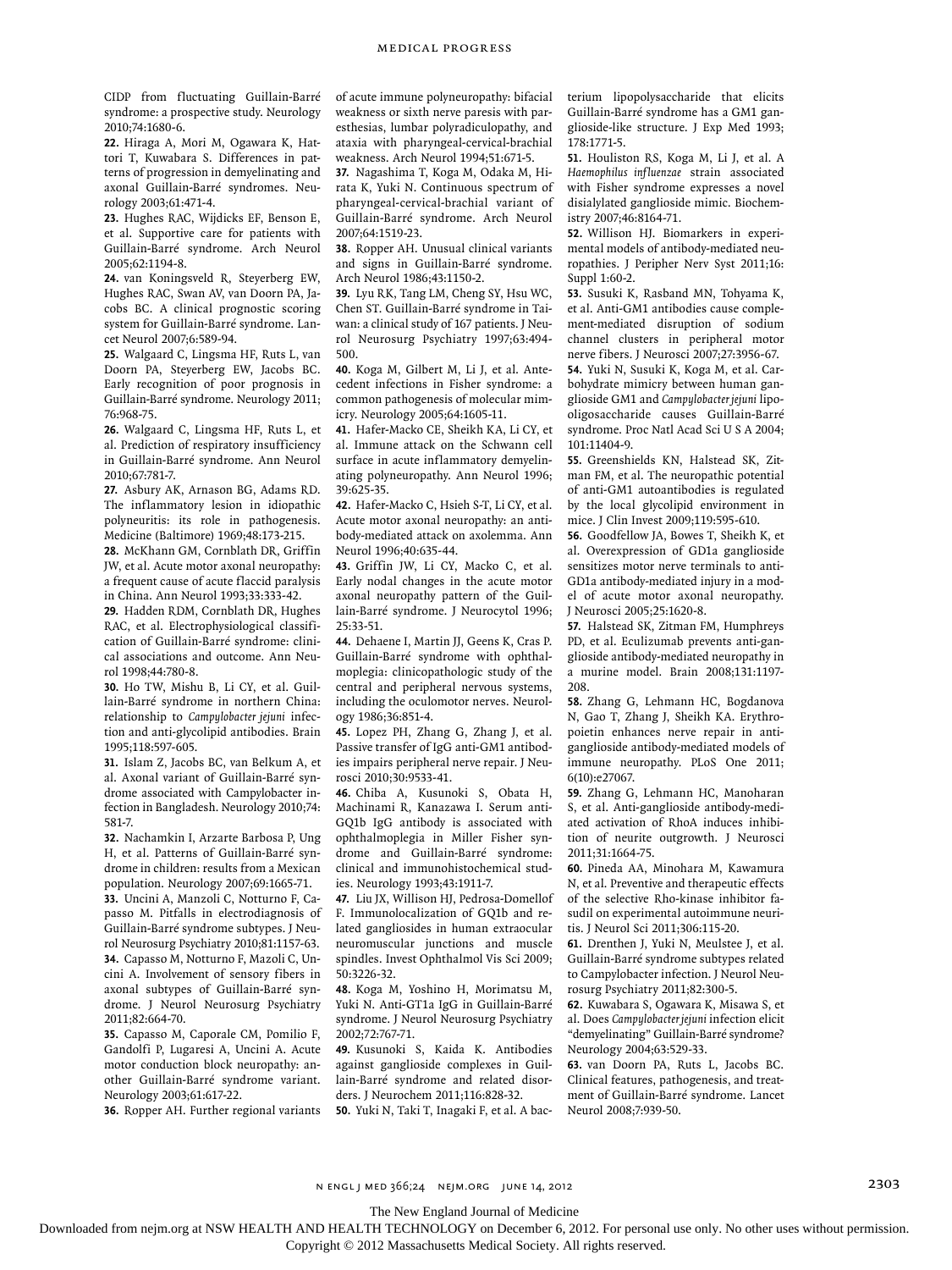CIDP from fluctuating Guillain-Barré syndrome: a prospective study. Neurology 2010;74:1680-6.

**22.** Hiraga A, Mori M, Ogawara K, Hattori T, Kuwabara S. Differences in patterns of progression in demyelinating and axonal Guillain-Barré syndromes. Neurology 2003;61:471-4.

**23.** Hughes RAC, Wijdicks EF, Benson E, et al. Supportive care for patients with Guillain-Barré syndrome. Arch Neurol 2005;62:1194-8.

**24.** van Koningsveld R, Steyerberg EW, Hughes RAC, Swan AV, van Doorn PA, Jacobs BC. A clinical prognostic scoring system for Guillain-Barré syndrome. Lancet Neurol 2007;6:589-94.

**25.** Walgaard C, Lingsma HF, Ruts L, van Doorn PA, Steyerberg EW, Jacobs BC. Early recognition of poor prognosis in Guillain-Barré syndrome. Neurology 2011; 76:968-75.

**26.** Walgaard C, Lingsma HF, Ruts L, et al. Prediction of respiratory insufficiency in Guillain-Barré syndrome. Ann Neurol 2010;67:781-7.

**27.** Asbury AK, Arnason BG, Adams RD. The inflammatory lesion in idiopathic polyneuritis: its role in pathogenesis. Medicine (Baltimore) 1969;48:173-215.

**28.** McKhann GM, Cornblath DR, Griffin JW, et al. Acute motor axonal neuropathy: a frequent cause of acute flaccid paralysis in China. Ann Neurol 1993;33:333-42.

**29.** Hadden RDM, Cornblath DR, Hughes RAC, et al. Electrophysiological classification of Guillain-Barré syndrome: clinical associations and outcome. Ann Neurol 1998;44:780-8.

**30.** Ho TW, Mishu B, Li CY, et al. Guillain-Barré syndrome in northern China: relationship to *Campylobacter jejuni* infection and anti-glycolipid antibodies. Brain 1995;118:597-605.

**31.** Islam Z, Jacobs BC, van Belkum A, et al. Axonal variant of Guillain-Barré syndrome associated with Campylobacter infection in Bangladesh. Neurology 2010;74: 581-7.

**32.** Nachamkin I, Arzarte Barbosa P, Ung H, et al. Patterns of Guillain-Barré syndrome in children: results from a Mexican population. Neurology 2007;69:1665-71.

**33.** Uncini A, Manzoli C, Notturno F, Capasso M. Pitfalls in electrodiagnosis of Guillain-Barré syndrome subtypes. J Neurol Neurosurg Psychiatry 2010;81:1157-63. **34.** Capasso M, Notturno F, Mazoli C, Uncini A. Involvement of sensory fibers in axonal subtypes of Guillain-Barré syndrome. J Neurol Neurosurg Psychiatry 2011;82:664-70.

**35.** Capasso M, Caporale CM, Pomilio F, Gandolfi P, Lugaresi A, Uncini A. Acute motor conduction block neuropathy: another Guillain-Barré syndrome variant. Neurology 2003;61:617-22.

**36.** Ropper AH. Further regional variants

of acute immune polyneuropathy: bifacial weakness or sixth nerve paresis with paresthesias, lumbar polyradiculopathy, and ataxia with pharyngeal-cervical-brachial weakness. Arch Neurol 1994;51:671-5.

**37.** Nagashima T, Koga M, Odaka M, Hirata K, Yuki N. Continuous spectrum of pharyngeal-cervical-brachial variant of Guillain-Barré syndrome. Arch Neurol 2007;64:1519-23.

**38.** Ropper AH. Unusual clinical variants and signs in Guillain-Barré syndrome. Arch Neurol 1986;43:1150-2.

**39.** Lyu RK, Tang LM, Cheng SY, Hsu WC, Chen ST. Guillain-Barré syndrome in Taiwan: a clinical study of 167 patients. J Neurol Neurosurg Psychiatry 1997;63:494- 500.

**40.** Koga M, Gilbert M, Li J, et al. Antecedent infections in Fisher syndrome: a common pathogenesis of molecular mimicry. Neurology 2005;64:1605-11.

**41.** Hafer-Macko CE, Sheikh KA, Li CY, et al. Immune attack on the Schwann cell surface in acute inflammatory demyelinating polyneuropathy. Ann Neurol 1996; 39:625-35.

**42.** Hafer-Macko C, Hsieh S-T, Li CY, et al. Acute motor axonal neuropathy: an antibody-mediated attack on axolemma. Ann Neurol 1996;40:635-44.

**43.** Griffin JW, Li CY, Macko C, et al. Early nodal changes in the acute motor axonal neuropathy pattern of the Guillain-Barré syndrome. J Neurocytol 1996; 25:33-51.

**44.** Dehaene I, Martin JJ, Geens K, Cras P. Guillain-Barré syndrome with ophthalmoplegia: clinicopathologic study of the central and peripheral nervous systems, including the oculomotor nerves. Neurology 1986;36:851-4.

**45.** Lopez PH, Zhang G, Zhang J, et al. Passive transfer of IgG anti-GM1 antibodies impairs peripheral nerve repair. J Neurosci 2010;30:9533-41.

**46.** Chiba A, Kusunoki S, Obata H, Machinami R, Kanazawa I. Serum anti-GQ1b IgG antibody is associated with ophthalmoplegia in Miller Fisher syndrome and Guillain-Barré syndrome: clinical and immunohistochemical studies. Neurology 1993;43:1911-7.

**47.** Liu JX, Willison HJ, Pedrosa-Domellof F. Immunolocalization of GQ1b and related gangliosides in human extraocular neuromuscular junctions and muscle spindles. Invest Ophthalmol Vis Sci 2009; 50:3226-32.

**48.** Koga M, Yoshino H, Morimatsu M, Yuki N. Anti-GT1a IgG in Guillain-Barré syndrome. J Neurol Neurosurg Psychiatry 2002;72:767-71.

**49.** Kusunoki S, Kaida K. Antibodies against ganglioside complexes in Guillain-Barré syndrome and related disorders. J Neurochem 2011;116:828-32.

**50.** Yuki N, Taki T, Inagaki F, et al. A bac-

terium lipopolysaccharide that elicits Guillain-Barré syndrome has a GM1 ganglioside-like structure. J Exp Med 1993; 178:1771-5.

**51.** Houliston RS, Koga M, Li J, et al. A *Haemophilus influenzae* strain associated with Fisher syndrome expresses a novel disialylated ganglioside mimic. Biochemistry 2007;46:8164-71.

**52.** Willison HJ. Biomarkers in experimental models of antibody-mediated neuropathies. J Peripher Nerv Syst 2011;16: Suppl 1:60-2.

**53.** Susuki K, Rasband MN, Tohyama K, et al. Anti-GM1 antibodies cause complement-mediated disruption of sodium channel clusters in peripheral motor nerve fibers. J Neurosci 2007;27:3956-67. **54.** Yuki N, Susuki K, Koga M, et al. Carbohydrate mimicry between human ganglioside GM1 and *Campylobacter jejuni* lipooligosaccharide causes Guillain-Barré syndrome. Proc Natl Acad Sci U S A 2004; 101:11404-9.

**55.** Greenshields KN, Halstead SK, Zitman FM, et al. The neuropathic potential of anti-GM1 autoantibodies is regulated by the local glycolipid environment in mice. J Clin Invest 2009;119:595-610.

**56.** Goodfellow JA, Bowes T, Sheikh K, et al. Overexpression of GD1a ganglioside sensitizes motor nerve terminals to anti-GD1a antibody-mediated injury in a model of acute motor axonal neuropathy. J Neurosci 2005;25:1620-8.

**57.** Halstead SK, Zitman FM, Humphreys PD, et al. Eculizumab prevents anti-ganglioside antibody-mediated neuropathy in a murine model. Brain 2008;131:1197- 208.

**58.** Zhang G, Lehmann HC, Bogdanova N, Gao T, Zhang J, Sheikh KA. Erythropoietin enhances nerve repair in antiganglioside antibody-mediated models of immune neuropathy. PLoS One 2011; 6(10):e27067.

**59.** Zhang G, Lehmann HC, Manoharan S, et al. Anti-ganglioside antibody-mediated activation of RhoA induces inhibition of neurite outgrowth. J Neurosci 2011;31:1664-75.

**60.** Pineda AA, Minohara M, Kawamura N, et al. Preventive and therapeutic effects of the selective Rho-kinase inhibitor fasudil on experimental autoimmune neuritis. J Neurol Sci 2011;306:115-20.

**61.** Drenthen J, Yuki N, Meulstee J, et al. Guillain-Barré syndrome subtypes related to Campylobacter infection. J Neurol Neurosurg Psychiatry 2011;82:300-5.

**62.** Kuwabara S, Ogawara K, Misawa S, et al. Does *Campylobacter jejuni* infection elicit "demyelinating" Guillain-Barré syndrome? Neurology 2004;63:529-33.

**63.** van Doorn PA, Ruts L, Jacobs BC. Clinical features, pathogenesis, and treatment of Guillain-Barré syndrome. Lancet Neurol 2008;7:939-50.

The New England Journal of Medicine

Downloaded from nejm.org at NSW HEALTH AND HEALTH TECHNOLOGY on December 6, 2012. For personal use only. No other uses without permission.